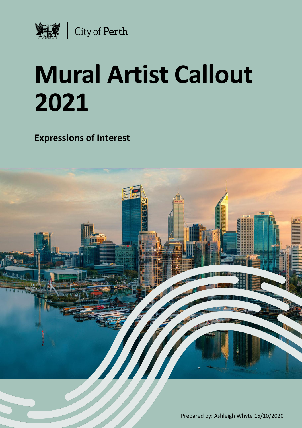

# **Mural Artist Callout 2021**

**Expressions of Interest**

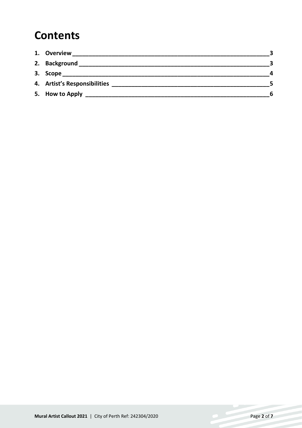### **Contents**

| 1. Overview                  |                  |
|------------------------------|------------------|
| 2. Background                |                  |
| 3. Scope                     | $\boldsymbol{a}$ |
| 4. Artist's Responsibilities |                  |
|                              | 6                |
|                              |                  |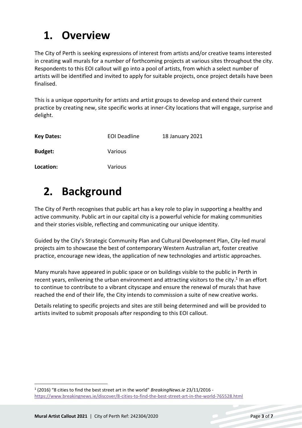### <span id="page-2-0"></span>**1. Overview**

The City of Perth is seeking expressions of interest from artists and/or creative teams interested in creating wall murals for a number of forthcoming projects at various sites throughout the city. Respondents to this EOI callout will go into a pool of artists, from which a select number of artists will be identified and invited to apply for suitable projects, once project details have been finalised.

This is a unique opportunity for artists and artist groups to develop and extend their current practice by creating new, site specific works at inner-City locations that will engage, surprise and delight.

| <b>Key Dates:</b> | <b>EOI Deadline</b> | 18 January 2021 |
|-------------------|---------------------|-----------------|
| <b>Budget:</b>    | Various             |                 |
| Location:         | Various             |                 |

### <span id="page-2-1"></span>**2. Background**

The City of Perth recognises that public art has a key role to play in supporting a healthy and active community. Public art in our capital city is a powerful vehicle for making communities and their stories visible, reflecting and communicating our unique identity.

Guided by the City's Strategic Community Plan and Cultural Development Plan, City-led mural projects aim to showcase the best of contemporary Western Australian art, foster creative practice, encourage new ideas, the application of new technologies and artistic approaches.

Many murals have appeared in public space or on buildings visible to the public in Perth in recent years, enlivening the urban environment and attracting visitors to the city.<sup>1</sup> In an effort to continue to contribute to a vibrant cityscape and ensure the renewal of murals that have reached the end of their life, the City intends to commission a suite of new creative works.

Details relating to specific projects and sites are still being determined and will be provided to artists invited to submit proposals after responding to this EOI callout.

 $\overline{a}$ 

<sup>1</sup> (2016) "8 cities to find the best street art in the world" *BreakingNews.ie* 23/11/2016 <https://www.breakingnews.ie/discover/8-cities-to-find-the-best-street-art-in-the-world-765528.html>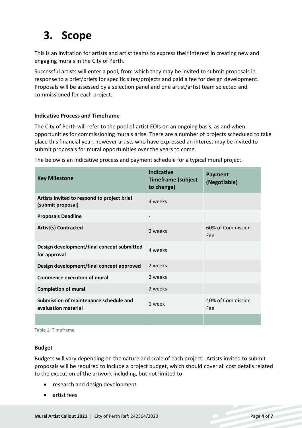# <span id="page-3-0"></span>**3. Scope**

This is an invitation for artists and artist teams to express their interest in creating new and engaging murals in the City of Perth.

Successful artists will enter a pool, from which they may be invited to submit proposals in response to a brief/briefs for specific sites/projects and paid a fee for design development. Proposals will be assessed by a selection panel and one artist/artist team selected and commissioned for each project.

#### **Indicative Process and Timeframe**

The City of Perth will refer to the pool of artist EOIs on an ongoing basis, as and when opportunities for commissioning murals arise. There are a number of projects scheduled to take place this financial year, however artists who have expressed an interest may be invited to submit proposals for mural opportunities over the years to come.

The below is an indicative process and payment schedule for a typical mural project.

| <b>Key Milestone</b>                                             | <b>Indicative</b><br><b>Timeframe (subject</b><br>to change) | <b>Payment</b><br>(Negotiable) |
|------------------------------------------------------------------|--------------------------------------------------------------|--------------------------------|
| Artists invited to respond to project brief<br>(submit proposal) | 4 weeks                                                      |                                |
| <b>Proposals Deadline</b>                                        |                                                              |                                |
| <b>Artist(s) Contracted</b>                                      | 2 weeks                                                      | 60% of Commission<br>Fee       |
| Design development/final concept submitted<br>for approval       | 4 weeks                                                      |                                |
| Design development/final concept approved                        | 2 weeks                                                      |                                |
| <b>Commence execution of mural</b>                               | 2 weeks                                                      |                                |
| <b>Completion of mural</b>                                       | 2 weeks                                                      |                                |
| Submission of maintenance schedule and<br>evaluation material    | 1 week                                                       | 40% of Commission<br>Fee       |
|                                                                  |                                                              |                                |

Table 1: Timeframe

#### **Budget**

Budgets will vary depending on the nature and scale of each project. Artists invited to submit proposals will be required to include a project budget, which should cover all cost details related to the execution of the artwork including, but not limited to:

- research and design development
- artist fees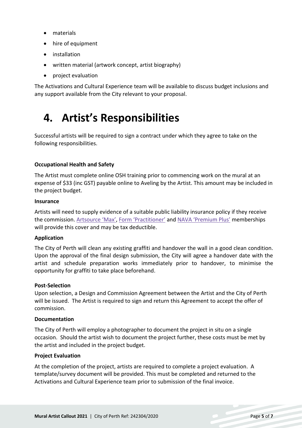- materials
- hire of equipment
- installation
- written material (artwork concept, artist biography)
- project evaluation

The Activations and Cultural Experience team will be available to discuss budget inclusions and any support available from the City relevant to your proposal.

### <span id="page-4-0"></span>**4. Artist's Responsibilities**

Successful artists will be required to sign a contract under which they agree to take on the following responsibilities.

#### **Occupational Health and Safety**

The Artist must complete online OSH training prior to commencing work on the mural at an expense of \$33 (inc GST) payable online to Aveling by the Artist. This amount may be included in the project budget.

#### **Insurance**

Artists will need to supply evidence of a suitable public liability insurance policy if they receive the commission. [Artsource 'Max'](http://www.artsource.net.au/Member-Services/Membership/MAX-Membership), [Form 'Practitioner'](http://www.form.net.au/membership/) and [NAVA 'Premium Plus'](https://visualarts.net.au/shop/products/premium-plus/) memberships will provide this cover and may be tax deductible.

#### **Application**

The City of Perth will clean any existing graffiti and handover the wall in a good clean condition. Upon the approval of the final design submission, the City will agree a handover date with the artist and schedule preparation works immediately prior to handover, to minimise the opportunity for graffiti to take place beforehand.

#### **Post-Selection**

Upon selection, a Design and Commission Agreement between the Artist and the City of Perth will be issued. The Artist is required to sign and return this Agreement to accept the offer of commission.

#### **Documentation**

The City of Perth will employ a photographer to document the project in situ on a single occasion. Should the artist wish to document the project further, these costs must be met by the artist and included in the project budget.

#### **Project Evaluation**

At the completion of the project, artists are required to complete a project evaluation. A template/survey document will be provided. This must be completed and returned to the Activations and Cultural Experience team prior to submission of the final invoice.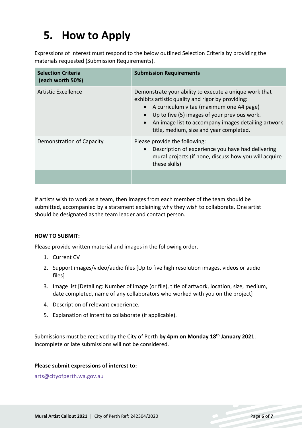## <span id="page-5-0"></span>**5. How to Apply**

Expressions of Interest must respond to the below outlined Selection Criteria by providing the materials requested (Submission Requirements).

| <b>Selection Criteria</b><br>(each worth 50%) | <b>Submission Requirements</b>                                                                                                                                                                                                                                                                            |
|-----------------------------------------------|-----------------------------------------------------------------------------------------------------------------------------------------------------------------------------------------------------------------------------------------------------------------------------------------------------------|
| Artistic Excellence                           | Demonstrate your ability to execute a unique work that<br>exhibits artistic quality and rigor by providing:<br>A curriculum vitae (maximum one A4 page)<br>Up to five (5) images of your previous work.<br>An image list to accompany images detailing artwork<br>title, medium, size and year completed. |
| Demonstration of Capacity                     | Please provide the following:<br>Description of experience you have had delivering<br>mural projects (if none, discuss how you will acquire<br>these skills)                                                                                                                                              |
|                                               |                                                                                                                                                                                                                                                                                                           |

If artists wish to work as a team, then images from each member of the team should be submitted, accompanied by a statement explaining why they wish to collaborate. One artist should be designated as the team leader and contact person.

#### **HOW TO SUBMIT:**

Please provide written material and images in the following order.

- 1. Current CV
- 2. Support images/video/audio files [Up to five high resolution images, videos or audio files]
- 3. Image list [Detailing: Number of image (or file), title of artwork, location, size, medium, date completed, name of any collaborators who worked with you on the project]
- 4. Description of relevant experience.
- 5. Explanation of intent to collaborate (if applicable).

Submissions must be received by the City of Perth **by 4pm on Monday 18 th January 2021**. Incomplete or late submissions will not be considered.

#### **Please submit expressions of interest to:**

[arts@cityofperth.wa.gov.au](mailto:arts@cityofperth.wa.gov.au)